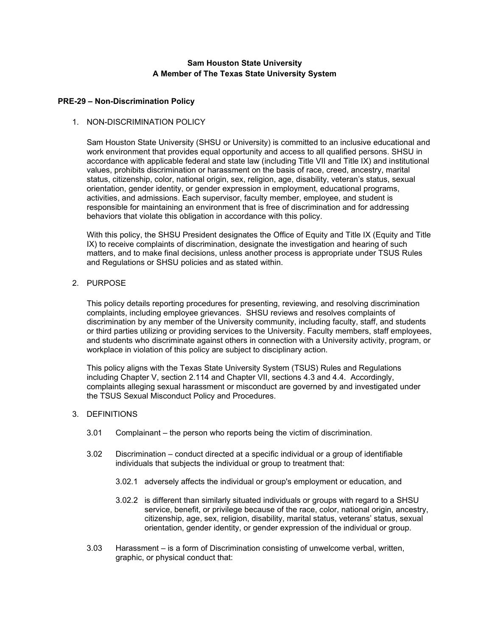# **Sam Houston State University A Member of The Texas State University System**

## **PRE-29 – Non-Discrimination Policy**

## 1. NON-DISCRIMINATION POLICY

Sam Houston State University (SHSU or University) is committed to an inclusive educational and work environment that provides equal opportunity and access to all qualified persons. SHSU in accordance with applicable federal and state law (including Title VII and Title IX) and institutional values, prohibits discrimination or harassment on the basis of race, creed, ancestry, marital status, citizenship, color, national origin, sex, religion, age, disability, veteran's status, sexual orientation, gender identity, or gender expression in employment, educational programs, activities, and admissions. Each supervisor, faculty member, employee, and student is responsible for maintaining an environment that is free of discrimination and for addressing behaviors that violate this obligation in accordance with this policy.

With this policy, the SHSU President designates the Office of Equity and Title IX (Equity and Title IX) to receive complaints of discrimination, designate the investigation and hearing of such matters, and to make final decisions, unless another process is appropriate under TSUS Rules and Regulations or SHSU policies and as stated within.

#### 2. PURPOSE

This policy details reporting procedures for presenting, reviewing, and resolving discrimination complaints, including employee grievances. SHSU reviews and resolves complaints of discrimination by any member of the University community, including faculty, staff, and students or third parties utilizing or providing services to the University. Faculty members, staff employees, and students who discriminate against others in connection with a University activity, program, or workplace in violation of this policy are subject to disciplinary action.

This policy aligns with the Texas State University System (TSUS) Rules and Regulations including Chapter V, section 2.114 and Chapter VII, sections 4.3 and 4.4. Accordingly, complaints alleging sexual harassment or misconduct are governed by and investigated under the TSUS Sexual Misconduct Policy and Procedures.

#### 3. DEFINITIONS

- 3.01 Complainant the person who reports being the victim of discrimination.
- 3.02 Discrimination conduct directed at a specific individual or a group of identifiable individuals that subjects the individual or group to treatment that:
	- 3.02.1 adversely affects the individual or group's employment or education, and
	- 3.02.2 is different than similarly situated individuals or groups with regard to a SHSU service, benefit, or privilege because of the race, color, national origin, ancestry, citizenship, age, sex, religion, disability, marital status, veterans' status, sexual orientation, gender identity, or gender expression of the individual or group.
- 3.03 Harassment is a form of Discrimination consisting of unwelcome verbal, written, graphic, or physical conduct that: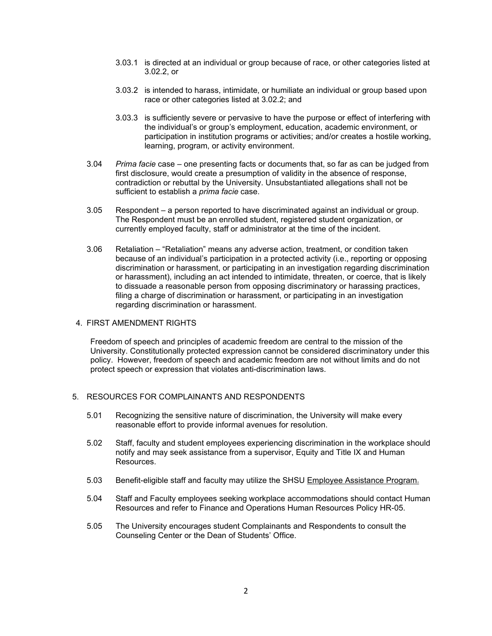- 3.03.1 is directed at an individual or group because of race, or other categories listed at 3.02.2, or
- 3.03.2 is intended to harass, intimidate, or humiliate an individual or group based upon race or other categories listed at 3.02.2; and
- 3.03.3 is sufficiently severe or pervasive to have the purpose or effect of interfering with the individual's or group's employment, education, academic environment, or participation in institution programs or activities; and/or creates a hostile working, learning, program, or activity environment.
- 3.04 *Prima facie* case one presenting facts or documents that, so far as can be judged from first disclosure, would create a presumption of validity in the absence of response, contradiction or rebuttal by the University. Unsubstantiated allegations shall not be sufficient to establish a *prima facie* case.
- 3.05 Respondent a person reported to have discriminated against an individual or group. The Respondent must be an enrolled student, registered student organization, or currently employed faculty, staff or administrator at the time of the incident.
- 3.06 Retaliation "Retaliation" means any adverse action, treatment, or condition taken because of an individual's participation in a protected activity (i.e., reporting or opposing discrimination or harassment, or participating in an investigation regarding discrimination or harassment), including an act intended to intimidate, threaten, or coerce, that is likely to dissuade a reasonable person from opposing discriminatory or harassing practices, filing a charge of discrimination or harassment, or participating in an investigation regarding discrimination or harassment.

## 4. FIRST AMENDMENT RIGHTS

Freedom of speech and principles of academic freedom are central to the mission of the University. Constitutionally protected expression cannot be considered discriminatory under this policy. However, freedom of speech and academic freedom are not without limits and do not protect speech or expression that violates anti-discrimination laws.

## 5. RESOURCES FOR COMPLAINANTS AND RESPONDENTS

- 5.01 Recognizing the sensitive nature of discrimination, the University will make every reasonable effort to provide informal avenues for resolution.
- 5.02 Staff, faculty and student employees experiencing discrimination in the workplace should notify and may seek assistance from a supervisor, Equity and Title IX and Human Resources.
- 5.03 Benefit-eligible staff and faculty may utilize the SHSU [Employee Assistance Program.](https://www.shsu.edu/dept/human-resources/eap.html)
- 5.04 Staff and Faculty employees seeking workplace accommodations should contact Human Resources and refer to Finance and Operations Human Resources Policy HR-05.
- 5.05 The University encourages student Complainants and Respondents to consult the Counseling Center or the Dean of Students' Office.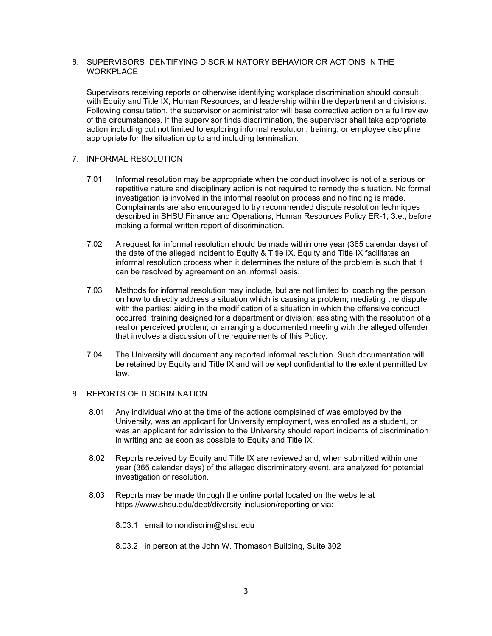## 6. SUPERVISORS IDENTIFYING DISCRIMINATORY BEHAVIOR OR ACTIONS IN THE **WORKPLACE**

Supervisors receiving reports or otherwise identifying workplace discrimination should consult with Equity and Title IX, Human Resources, and leadership within the department and divisions. Following consultation, the supervisor or administrator will base corrective action on a full review of the circumstances. If the supervisor finds discrimination, the supervisor shall take appropriate action including but not limited to exploring informal resolution, training, or employee discipline appropriate for the situation up to and including termination.

# 7. INFORMAL RESOLUTION

- 7.01 Informal resolution may be appropriate when the conduct involved is not of a serious or repetitive nature and disciplinary action is not required to remedy the situation. No formal investigation is involved in the informal resolution process and no finding is made. Complainants are also encouraged to try recommended dispute resolution techniques described in SHSU Finance and Operations, Human Resources Policy ER-1, 3.e., before making a formal written report of discrimination.
- 7.02 A request for informal resolution should be made within one year (365 calendar days) of the date of the alleged incident to Equity & Title IX. Equity and Title IX facilitates an informal resolution process when it determines the nature of the problem is such that it can be resolved by agreement on an informal basis.
- 7.03 Methods for informal resolution may include, but are not limited to: coaching the person on how to directly address a situation which is causing a problem; mediating the dispute with the parties; aiding in the modification of a situation in which the offensive conduct occurred; training designed for a department or division; assisting with the resolution of a real or perceived problem; or arranging a documented meeting with the alleged offender that involves a discussion of the requirements of this Policy.
- 7.04 The University will document any reported informal resolution. Such documentation will be retained by Equity and Title IX and will be kept confidential to the extent permitted by law.

# 8. REPORTS OF DISCRIMINATION

- 8.01 Any individual who at the time of the actions complained of was employed by the University, was an applicant for University employment, was enrolled as a student, or was an applicant for admission to the University should report incidents of discrimination in writing and as soon as possible to Equity and Title IX.
- 8.02 Reports received by Equity and Title IX are reviewed and, when submitted within one year (365 calendar days) of the alleged discriminatory event, are analyzed for potential investigation or resolution.
- 8.03 Reports may be made through the online portal located on the website at https://www.shsu.edu/dept/diversity-inclusion/reporting or via:
	- 8.03.1 email to nondiscrim@shsu.edu
	- 8.03.2 in person at the John W. Thomason Building, Suite 302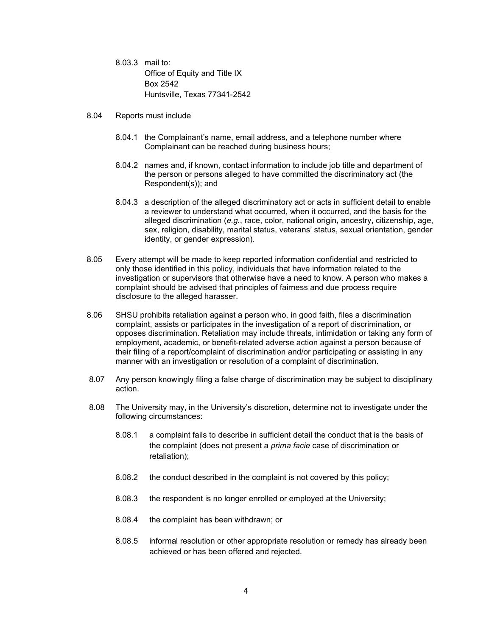- 8.03.3 mail to: Office of Equity and Title IX Box 2542 Huntsville, Texas 77341-2542
- 8.04 Reports must include
	- 8.04.1 the Complainant's name, email address, and a telephone number where Complainant can be reached during business hours;
	- 8.04.2 names and, if known, contact information to include job title and department of the person or persons alleged to have committed the discriminatory act (the Respondent(s)); and
	- 8.04.3 a description of the alleged discriminatory act or acts in sufficient detail to enable a reviewer to understand what occurred, when it occurred, and the basis for the alleged discrimination (*e.g.*, race, color, national origin, ancestry, citizenship, age, sex, religion, disability, marital status, veterans' status, sexual orientation, gender identity, or gender expression).
- 8.05 Every attempt will be made to keep reported information confidential and restricted to only those identified in this policy, individuals that have information related to the investigation or supervisors that otherwise have a need to know. A person who makes a complaint should be advised that principles of fairness and due process require disclosure to the alleged harasser.
- 8.06 SHSU prohibits retaliation against a person who, in good faith, files a discrimination complaint, assists or participates in the investigation of a report of discrimination, or opposes discrimination. Retaliation may include threats, intimidation or taking any form of employment, academic, or benefit-related adverse action against a person because of their filing of a report/complaint of discrimination and/or participating or assisting in any manner with an investigation or resolution of a complaint of discrimination.
- 8.07 Any person knowingly filing a false charge of discrimination may be subject to disciplinary action.
- 8.08 The University may, in the University's discretion, determine not to investigate under the following circumstances:
	- 8.08.1 a complaint fails to describe in sufficient detail the conduct that is the basis of the complaint (does not present a *prima facie* case of discrimination or retaliation);
	- 8.08.2 the conduct described in the complaint is not covered by this policy;
	- 8.08.3 the respondent is no longer enrolled or employed at the University;
	- 8.08.4 the complaint has been withdrawn; or
	- 8.08.5 informal resolution or other appropriate resolution or remedy has already been achieved or has been offered and rejected.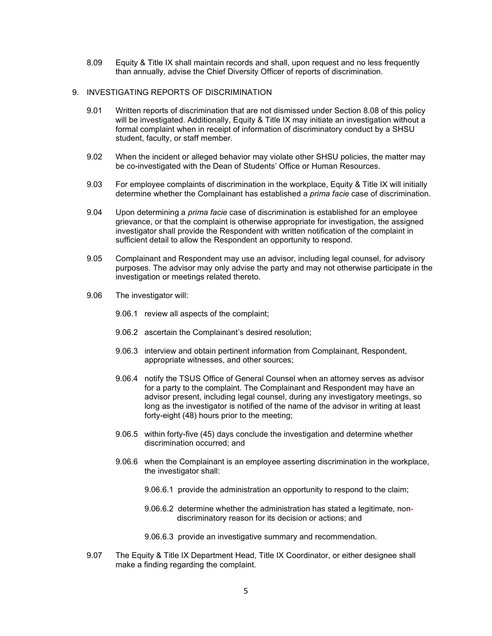8.09 Equity & Title IX shall maintain records and shall, upon request and no less frequently than annually, advise the Chief Diversity Officer of reports of discrimination.

## 9. INVESTIGATING REPORTS OF DISCRIMINATION

- 9.01 Written reports of discrimination that are not dismissed under Section 8.08 of this policy will be investigated. Additionally, Equity & Title IX may initiate an investigation without a formal complaint when in receipt of information of discriminatory conduct by a SHSU student, faculty, or staff member.
- 9.02 When the incident or alleged behavior may violate other SHSU policies, the matter may be co-investigated with the Dean of Students' Office or Human Resources.
- 9.03 For employee complaints of discrimination in the workplace, Equity & Title IX will initially determine whether the Complainant has established a *prima facie* case of discrimination.
- 9.04 Upon determining a *prima facie* case of discrimination is established for an employee grievance, or that the complaint is otherwise appropriate for investigation, the assigned investigator shall provide the Respondent with written notification of the complaint in sufficient detail to allow the Respondent an opportunity to respond.
- 9.05 Complainant and Respondent may use an advisor, including legal counsel, for advisory purposes. The advisor may only advise the party and may not otherwise participate in the investigation or meetings related thereto.
- 9.06 The investigator will:
	- 9.06.1 review all aspects of the complaint;
	- 9.06.2 ascertain the Complainant's desired resolution;
	- 9.06.3 interview and obtain pertinent information from Complainant, Respondent, appropriate witnesses, and other sources;
	- 9.06.4 notify the TSUS Office of General Counsel when an attorney serves as advisor for a party to the complaint. The Complainant and Respondent may have an advisor present, including legal counsel, during any investigatory meetings, so long as the investigator is notified of the name of the advisor in writing at least forty-eight (48) hours prior to the meeting;
	- 9.06.5 within forty-five (45) days conclude the investigation and determine whether discrimination occurred; and
	- 9.06.6 when the Complainant is an employee asserting discrimination in the workplace, the investigator shall:
		- 9.06.6.1 provide the administration an opportunity to respond to the claim;
		- 9.06.6.2 determine whether the administration has stated a legitimate, nondiscriminatory reason for its decision or actions; and
		- 9.06.6.3 provide an investigative summary and recommendation.
- 9.07 The Equity & Title IX Department Head, Title IX Coordinator, or either designee shall make a finding regarding the complaint.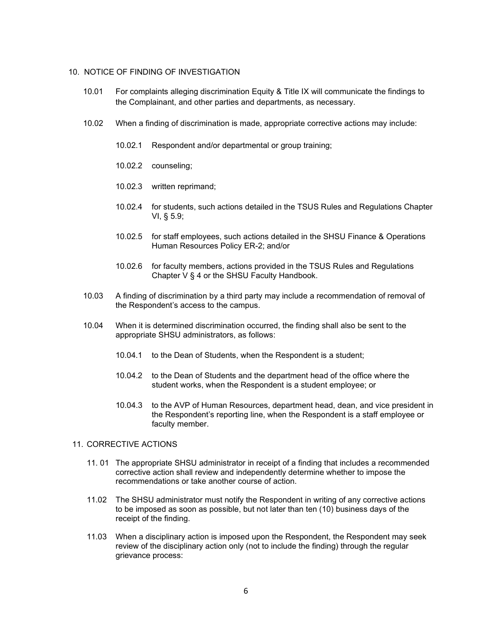#### 10. NOTICE OF FINDING OF INVESTIGATION

- 10.01 For complaints alleging discrimination Equity & Title IX will communicate the findings to the Complainant, and other parties and departments, as necessary.
- 10.02 When a finding of discrimination is made, appropriate corrective actions may include:
	- 10.02.1 Respondent and/or departmental or group training;
	- 10.02.2 counseling;
	- 10.02.3 written reprimand;
	- 10.02.4 for students, such actions detailed in the TSUS Rules and Regulations Chapter VI, § 5.9;
	- 10.02.5 for staff employees, such actions detailed in the SHSU Finance & Operations Human Resources Policy ER-2; and/or
	- 10.02.6 for faculty members, actions provided in the TSUS Rules and Regulations Chapter V § 4 or the SHSU Faculty Handbook.
- 10.03 A finding of discrimination by a third party may include a recommendation of removal of the Respondent's access to the campus.
- 10.04 When it is determined discrimination occurred, the finding shall also be sent to the appropriate SHSU administrators, as follows:
	- 10.04.1 to the Dean of Students, when the Respondent is a student;
	- 10.04.2 to the Dean of Students and the department head of the office where the student works, when the Respondent is a student employee; or
	- 10.04.3 to the AVP of Human Resources, department head, dean, and vice president in the Respondent's reporting line, when the Respondent is a staff employee or faculty member.

## 11. CORRECTIVE ACTIONS

- 11. 01 The appropriate SHSU administrator in receipt of a finding that includes a recommended corrective action shall review and independently determine whether to impose the recommendations or take another course of action.
- 11.02 The SHSU administrator must notify the Respondent in writing of any corrective actions to be imposed as soon as possible, but not later than ten (10) business days of the receipt of the finding.
- 11.03 When a disciplinary action is imposed upon the Respondent, the Respondent may seek review of the disciplinary action only (not to include the finding) through the regular grievance process: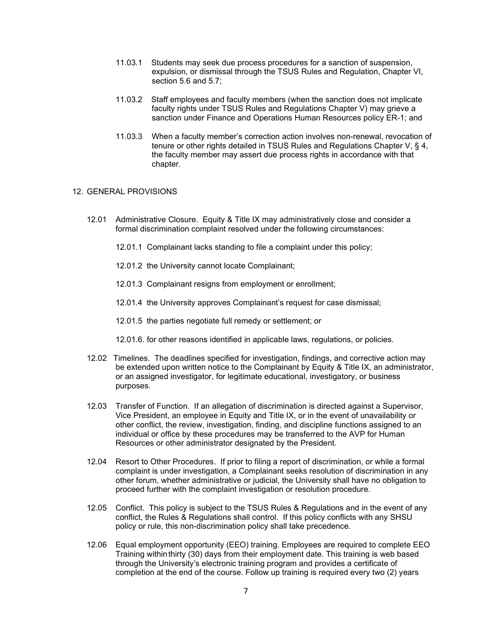- 11.03.1 Students may seek due process procedures for a sanction of suspension, expulsion, or dismissal through the TSUS Rules and Regulation, Chapter VI, section 5.6 and 5.7;
- 11.03.2 Staff employees and faculty members (when the sanction does not implicate faculty rights under TSUS Rules and Regulations Chapter V) may grieve a sanction under Finance and Operations Human Resources policy ER-1; and
- 11.03.3 When a faculty member's correction action involves non-renewal, revocation of tenure or other rights detailed in TSUS Rules and Regulations Chapter V, § 4, the faculty member may assert due process rights in accordance with that chapter.

## 12. GENERAL PROVISIONS

- 12.01 Administrative Closure. Equity & Title IX may administratively close and consider a formal discrimination complaint resolved under the following circumstances:
	- 12.01.1 Complainant lacks standing to file a complaint under this policy;
	- 12.01.2 the University cannot locate Complainant;
	- 12.01.3 Complainant resigns from employment or enrollment;
	- 12.01.4 the University approves Complainant's request for case dismissal;
	- 12.01.5 the parties negotiate full remedy or settlement; or
	- 12.01.6. for other reasons identified in applicable laws, regulations, or policies.
- 12.02 Timelines. The deadlines specified for investigation, findings, and corrective action may be extended upon written notice to the Complainant by Equity & Title IX, an administrator, or an assigned investigator, for legitimate educational, investigatory, or business purposes.
- 12.03 Transfer of Function. If an allegation of discrimination is directed against a Supervisor, Vice President, an employee in Equity and Title IX, or in the event of unavailability or other conflict, the review, investigation, finding, and discipline functions assigned to an individual or office by these procedures may be transferred to the AVP for Human Resources or other administrator designated by the President.
- 12.04 Resort to Other Procedures. If prior to filing a report of discrimination, or while a formal complaint is under investigation, a Complainant seeks resolution of discrimination in any other forum, whether administrative or judicial, the University shall have no obligation to proceed further with the complaint investigation or resolution procedure.
- 12.05 Conflict. This policy is subject to the TSUS Rules & Regulations and in the event of any conflict, the Rules & Regulations shall control. If this policy conflicts with any SHSU policy or rule, this non-discrimination policy shall take precedence.
- 12.06 Equal employment opportunity (EEO) training. Employees are required to complete EEO Training within thirty (30) days from their employment date. This training is web based through the University's electronic training program and provides a certificate of completion at the end of the course. Follow up training is required every two (2) years